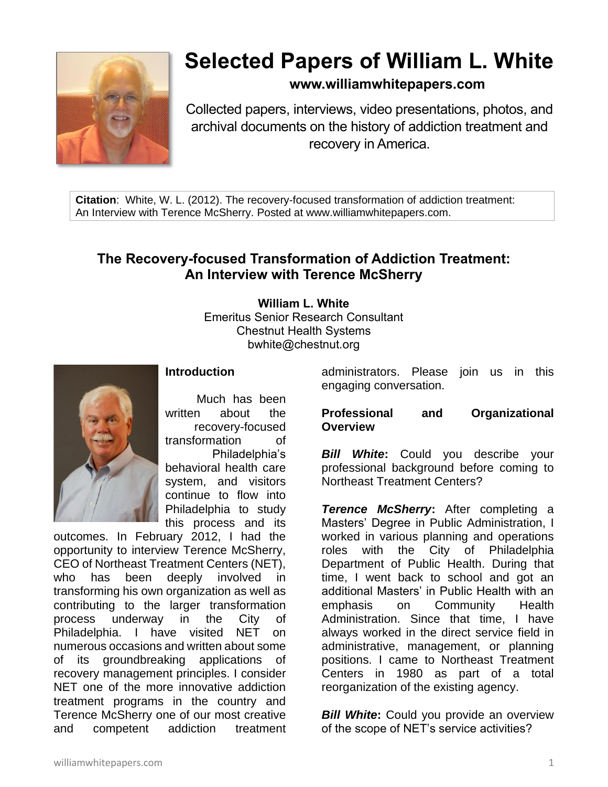

# **Selected Papers of William L. White**

# **www.williamwhitepapers.com**

Collected papers, interviews, video presentations, photos, and archival documents on the history of addiction treatment and recovery in America.

**Citation**: White, W. L. (2012). The recovery-focused transformation of addiction treatment: An Interview with Terence McSherry. Posted at www.williamwhitepapers.com.

# **The Recovery-focused Transformation of Addiction Treatment: An Interview with Terence McSherry**

### **William L. White**

Emeritus Senior Research Consultant Chestnut Health Systems bwhite@chestnut.org



# **Introduction**

Much has been written about the recovery-focused transformation of Philadelphia's behavioral health care system, and visitors continue to flow into Philadelphia to study this process and its

outcomes. In February 2012, I had the opportunity to interview Terence McSherry, CEO of Northeast Treatment Centers (NET), who has been deeply involved in transforming his own organization as well as contributing to the larger transformation process underway in the City of Philadelphia. I have visited NET on numerous occasions and written about some of its groundbreaking applications of recovery management principles. I consider NET one of the more innovative addiction treatment programs in the country and Terence McSherry one of our most creative and competent addiction treatment

administrators. Please join us in this engaging conversation.

#### **Professional and Organizational Overview**

*Bill White***:** Could you describe your professional background before coming to Northeast Treatment Centers?

*Terence McSherry***:** After completing a Masters' Degree in Public Administration, I worked in various planning and operations roles with the City of Philadelphia Department of Public Health. During that time, I went back to school and got an additional Masters' in Public Health with an emphasis on Community Health Administration. Since that time, I have always worked in the direct service field in administrative, management, or planning positions. I came to Northeast Treatment Centers in 1980 as part of a total reorganization of the existing agency.

**Bill White:** Could you provide an overview of the scope of NET's service activities?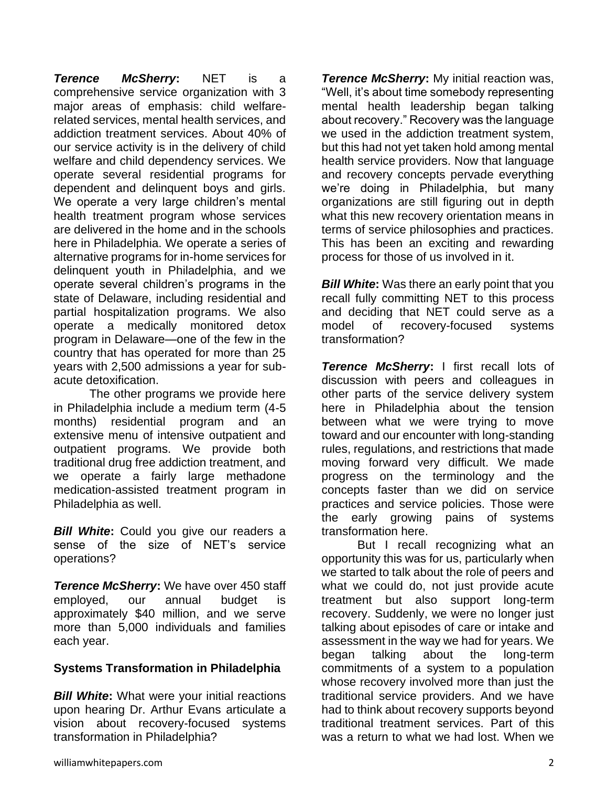*Terence McSherry***:** NET is a comprehensive service organization with 3 major areas of emphasis: child welfarerelated services, mental health services, and addiction treatment services. About 40% of our service activity is in the delivery of child welfare and child dependency services. We operate several residential programs for dependent and delinquent boys and girls. We operate a very large children's mental health treatment program whose services are delivered in the home and in the schools here in Philadelphia. We operate a series of alternative programs for in-home services for delinquent youth in Philadelphia, and we operate several children's programs in the state of Delaware, including residential and partial hospitalization programs. We also operate a medically monitored detox program in Delaware—one of the few in the country that has operated for more than 25 years with 2,500 admissions a year for subacute detoxification.

The other programs we provide here in Philadelphia include a medium term (4-5 months) residential program and an extensive menu of intensive outpatient and outpatient programs. We provide both traditional drug free addiction treatment, and we operate a fairly large methadone medication-assisted treatment program in Philadelphia as well.

*Bill White***:** Could you give our readers a sense of the size of NET's service operations?

*Terence McSherry***:** We have over 450 staff employed, our annual budget is approximately \$40 million, and we serve more than 5,000 individuals and families each year.

# **Systems Transformation in Philadelphia**

*Bill White***:** What were your initial reactions upon hearing Dr. Arthur Evans articulate a vision about recovery-focused systems transformation in Philadelphia?

*Terence McSherry***:** My initial reaction was, "Well, it's about time somebody representing mental health leadership began talking about recovery." Recovery was the language we used in the addiction treatment system, but this had not yet taken hold among mental health service providers. Now that language and recovery concepts pervade everything we're doing in Philadelphia, but many organizations are still figuring out in depth what this new recovery orientation means in terms of service philosophies and practices. This has been an exciting and rewarding process for those of us involved in it.

*Bill White***:** Was there an early point that you recall fully committing NET to this process and deciding that NET could serve as a model of recovery-focused systems transformation?

*Terence McSherry***:** I first recall lots of discussion with peers and colleagues in other parts of the service delivery system here in Philadelphia about the tension between what we were trying to move toward and our encounter with long-standing rules, regulations, and restrictions that made moving forward very difficult. We made progress on the terminology and the concepts faster than we did on service practices and service policies. Those were the early growing pains of systems transformation here.

But I recall recognizing what an opportunity this was for us, particularly when we started to talk about the role of peers and what we could do, not just provide acute treatment but also support long-term recovery. Suddenly, we were no longer just talking about episodes of care or intake and assessment in the way we had for years. We began talking about the long-term commitments of a system to a population whose recovery involved more than just the traditional service providers. And we have had to think about recovery supports beyond traditional treatment services. Part of this was a return to what we had lost. When we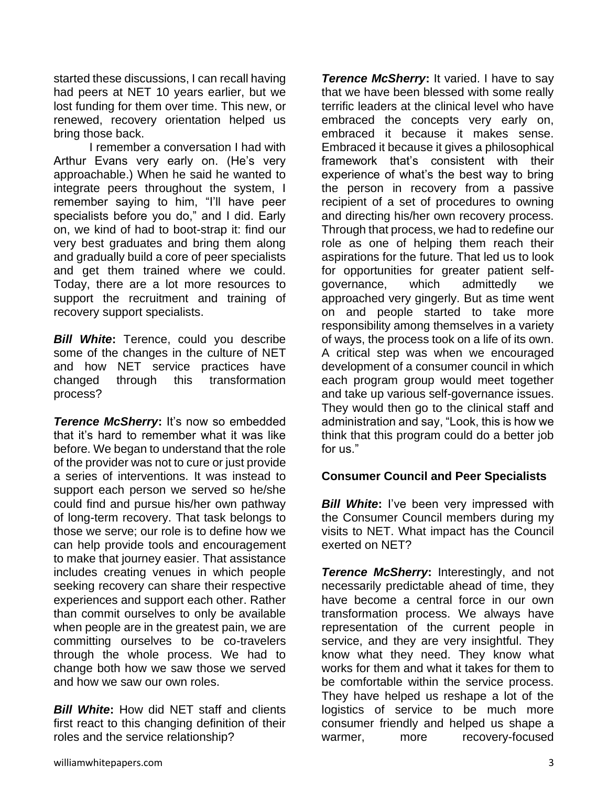started these discussions, I can recall having had peers at NET 10 years earlier, but we lost funding for them over time. This new, or renewed, recovery orientation helped us bring those back.

I remember a conversation I had with Arthur Evans very early on. (He's very approachable.) When he said he wanted to integrate peers throughout the system, I remember saying to him, "I'll have peer specialists before you do," and I did. Early on, we kind of had to boot-strap it: find our very best graduates and bring them along and gradually build a core of peer specialists and get them trained where we could. Today, there are a lot more resources to support the recruitment and training of recovery support specialists.

*Bill White***:** Terence, could you describe some of the changes in the culture of NET and how NET service practices have changed through this transformation process?

**Terence McSherry:** It's now so embedded that it's hard to remember what it was like before. We began to understand that the role of the provider was not to cure or just provide a series of interventions. It was instead to support each person we served so he/she could find and pursue his/her own pathway of long-term recovery. That task belongs to those we serve; our role is to define how we can help provide tools and encouragement to make that journey easier. That assistance includes creating venues in which people seeking recovery can share their respective experiences and support each other. Rather than commit ourselves to only be available when people are in the greatest pain, we are committing ourselves to be co-travelers through the whole process. We had to change both how we saw those we served and how we saw our own roles.

*Bill White***:** How did NET staff and clients first react to this changing definition of their roles and the service relationship?

**Terence McSherry:** It varied. I have to say that we have been blessed with some really terrific leaders at the clinical level who have embraced the concepts very early on, embraced it because it makes sense. Embraced it because it gives a philosophical framework that's consistent with their experience of what's the best way to bring the person in recovery from a passive recipient of a set of procedures to owning and directing his/her own recovery process. Through that process, we had to redefine our role as one of helping them reach their aspirations for the future. That led us to look for opportunities for greater patient selfgovernance, which admittedly we approached very gingerly. But as time went on and people started to take more responsibility among themselves in a variety of ways, the process took on a life of its own. A critical step was when we encouraged development of a consumer council in which each program group would meet together and take up various self-governance issues. They would then go to the clinical staff and administration and say, "Look, this is how we think that this program could do a better job for us."

#### **Consumer Council and Peer Specialists**

*Bill White:* I've been very impressed with the Consumer Council members during my visits to NET. What impact has the Council exerted on NET?

*Terence McSherry***:** Interestingly, and not necessarily predictable ahead of time, they have become a central force in our own transformation process. We always have representation of the current people in service, and they are very insightful. They know what they need. They know what works for them and what it takes for them to be comfortable within the service process. They have helped us reshape a lot of the logistics of service to be much more consumer friendly and helped us shape a warmer, more recovery-focused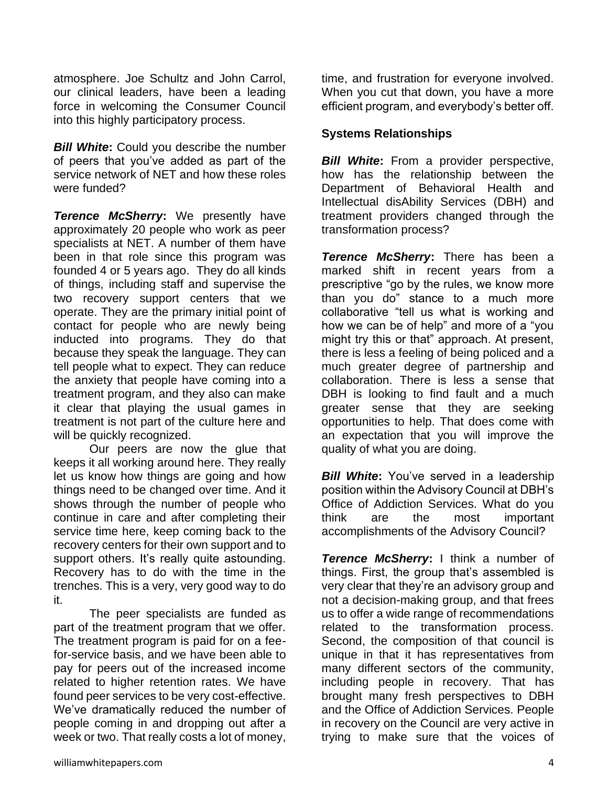atmosphere. Joe Schultz and John Carrol, our clinical leaders, have been a leading force in welcoming the Consumer Council into this highly participatory process.

*Bill White***:** Could you describe the number of peers that you've added as part of the service network of NET and how these roles were funded?

*Terence McSherry***:** We presently have approximately 20 people who work as peer specialists at NET. A number of them have been in that role since this program was founded 4 or 5 years ago. They do all kinds of things, including staff and supervise the two recovery support centers that we operate. They are the primary initial point of contact for people who are newly being inducted into programs. They do that because they speak the language. They can tell people what to expect. They can reduce the anxiety that people have coming into a treatment program, and they also can make it clear that playing the usual games in treatment is not part of the culture here and will be quickly recognized.

Our peers are now the glue that keeps it all working around here. They really let us know how things are going and how things need to be changed over time. And it shows through the number of people who continue in care and after completing their service time here, keep coming back to the recovery centers for their own support and to support others. It's really quite astounding. Recovery has to do with the time in the trenches. This is a very, very good way to do it.

The peer specialists are funded as part of the treatment program that we offer. The treatment program is paid for on a feefor-service basis, and we have been able to pay for peers out of the increased income related to higher retention rates. We have found peer services to be very cost-effective. We've dramatically reduced the number of people coming in and dropping out after a week or two. That really costs a lot of money,

time, and frustration for everyone involved. When you cut that down, you have a more efficient program, and everybody's better off.

## **Systems Relationships**

*Bill White*: From a provider perspective, how has the relationship between the Department of Behavioral Health and Intellectual disAbility Services (DBH) and treatment providers changed through the transformation process?

*Terence McSherry***:** There has been a marked shift in recent years from a prescriptive "go by the rules, we know more than you do" stance to a much more collaborative "tell us what is working and how we can be of help" and more of a "you might try this or that" approach. At present, there is less a feeling of being policed and a much greater degree of partnership and collaboration. There is less a sense that DBH is looking to find fault and a much greater sense that they are seeking opportunities to help. That does come with an expectation that you will improve the quality of what you are doing.

*Bill White:* You've served in a leadership position within the Advisory Council at DBH's Office of Addiction Services. What do you think are the most important accomplishments of the Advisory Council?

*Terence McSherry***:** I think a number of things. First, the group that's assembled is very clear that they're an advisory group and not a decision-making group, and that frees us to offer a wide range of recommendations related to the transformation process. Second, the composition of that council is unique in that it has representatives from many different sectors of the community, including people in recovery. That has brought many fresh perspectives to DBH and the Office of Addiction Services. People in recovery on the Council are very active in trying to make sure that the voices of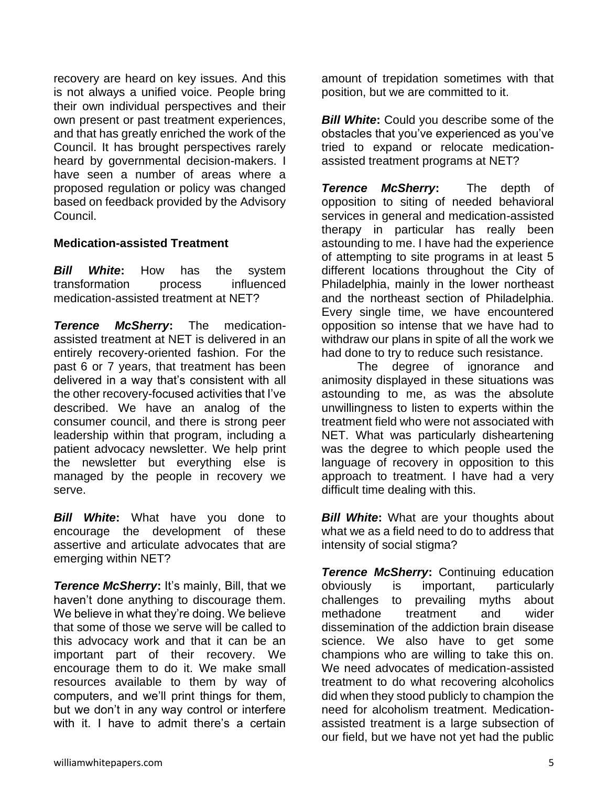recovery are heard on key issues. And this is not always a unified voice. People bring their own individual perspectives and their own present or past treatment experiences, and that has greatly enriched the work of the Council. It has brought perspectives rarely heard by governmental decision-makers. I have seen a number of areas where a proposed regulation or policy was changed based on feedback provided by the Advisory Council.

#### **Medication-assisted Treatment**

*Bill White***:** How has the system transformation process influenced medication-assisted treatment at NET?

*Terence McSherry***:** The medicationassisted treatment at NET is delivered in an entirely recovery-oriented fashion. For the past 6 or 7 years, that treatment has been delivered in a way that's consistent with all the other recovery-focused activities that I've described. We have an analog of the consumer council, and there is strong peer leadership within that program, including a patient advocacy newsletter. We help print the newsletter but everything else is managed by the people in recovery we serve.

*Bill White***:** What have you done to encourage the development of these assertive and articulate advocates that are emerging within NET?

*Terence McSherry:* It's mainly, Bill, that we haven't done anything to discourage them. We believe in what they're doing. We believe that some of those we serve will be called to this advocacy work and that it can be an important part of their recovery. We encourage them to do it. We make small resources available to them by way of computers, and we'll print things for them, but we don't in any way control or interfere with it. I have to admit there's a certain

amount of trepidation sometimes with that position, but we are committed to it.

*Bill White:* Could you describe some of the obstacles that you've experienced as you've tried to expand or relocate medicationassisted treatment programs at NET?

*Terence McSherry***:** The depth of opposition to siting of needed behavioral services in general and medication-assisted therapy in particular has really been astounding to me. I have had the experience of attempting to site programs in at least 5 different locations throughout the City of Philadelphia, mainly in the lower northeast and the northeast section of Philadelphia. Every single time, we have encountered opposition so intense that we have had to withdraw our plans in spite of all the work we had done to try to reduce such resistance.

The degree of ignorance and animosity displayed in these situations was astounding to me, as was the absolute unwillingness to listen to experts within the treatment field who were not associated with NET. What was particularly disheartening was the degree to which people used the language of recovery in opposition to this approach to treatment. I have had a very difficult time dealing with this.

*Bill White:* What are your thoughts about what we as a field need to do to address that intensity of social stigma?

*Terence McSherry***:** Continuing education obviously is important, particularly challenges to prevailing myths about methadone treatment and wider dissemination of the addiction brain disease science. We also have to get some champions who are willing to take this on. We need advocates of medication-assisted treatment to do what recovering alcoholics did when they stood publicly to champion the need for alcoholism treatment. Medicationassisted treatment is a large subsection of our field, but we have not yet had the public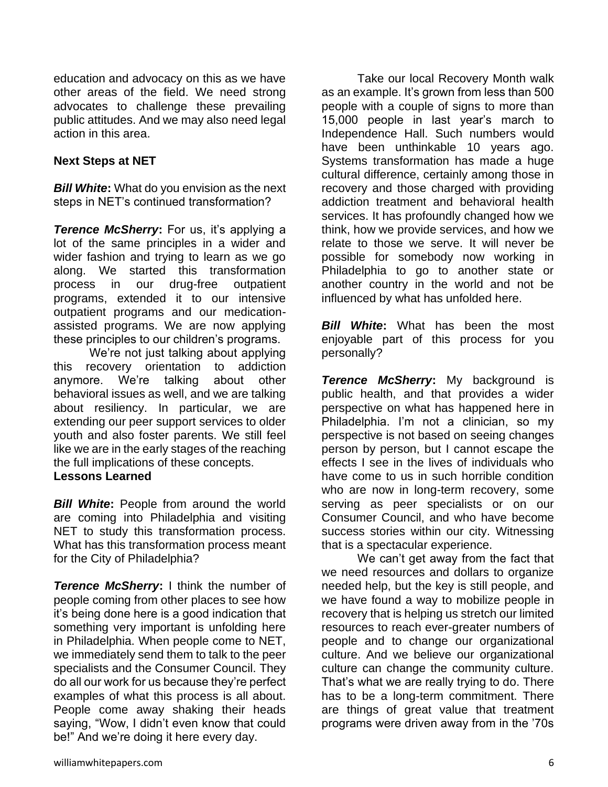education and advocacy on this as we have other areas of the field. We need strong advocates to challenge these prevailing public attitudes. And we may also need legal action in this area.

#### **Next Steps at NET**

*Bill White***:** What do you envision as the next steps in NET's continued transformation?

*Terence McSherry***:** For us, it's applying a lot of the same principles in a wider and wider fashion and trying to learn as we go along. We started this transformation process in our drug-free outpatient programs, extended it to our intensive outpatient programs and our medicationassisted programs. We are now applying these principles to our children's programs.

We're not just talking about applying this recovery orientation to addiction anymore. We're talking about other behavioral issues as well, and we are talking about resiliency. In particular, we are extending our peer support services to older youth and also foster parents. We still feel like we are in the early stages of the reaching the full implications of these concepts. **Lessons Learned**

*Bill White:* People from around the world are coming into Philadelphia and visiting NET to study this transformation process. What has this transformation process meant for the City of Philadelphia?

*Terence McSherry***:** I think the number of people coming from other places to see how it's being done here is a good indication that something very important is unfolding here in Philadelphia. When people come to NET, we immediately send them to talk to the peer specialists and the Consumer Council. They do all our work for us because they're perfect examples of what this process is all about. People come away shaking their heads saying, "Wow, I didn't even know that could be!" And we're doing it here every day.

Take our local Recovery Month walk as an example. It's grown from less than 500 people with a couple of signs to more than 15,000 people in last year's march to Independence Hall. Such numbers would have been unthinkable 10 years ago. Systems transformation has made a huge cultural difference, certainly among those in recovery and those charged with providing addiction treatment and behavioral health services. It has profoundly changed how we think, how we provide services, and how we relate to those we serve. It will never be possible for somebody now working in Philadelphia to go to another state or another country in the world and not be influenced by what has unfolded here.

*Bill White***:** What has been the most enjoyable part of this process for you personally?

*Terence McSherry***:** My background is public health, and that provides a wider perspective on what has happened here in Philadelphia. I'm not a clinician, so my perspective is not based on seeing changes person by person, but I cannot escape the effects I see in the lives of individuals who have come to us in such horrible condition who are now in long-term recovery, some serving as peer specialists or on our Consumer Council, and who have become success stories within our city. Witnessing that is a spectacular experience.

We can't get away from the fact that we need resources and dollars to organize needed help, but the key is still people, and we have found a way to mobilize people in recovery that is helping us stretch our limited resources to reach ever-greater numbers of people and to change our organizational culture. And we believe our organizational culture can change the community culture. That's what we are really trying to do. There has to be a long-term commitment. There are things of great value that treatment programs were driven away from in the '70s